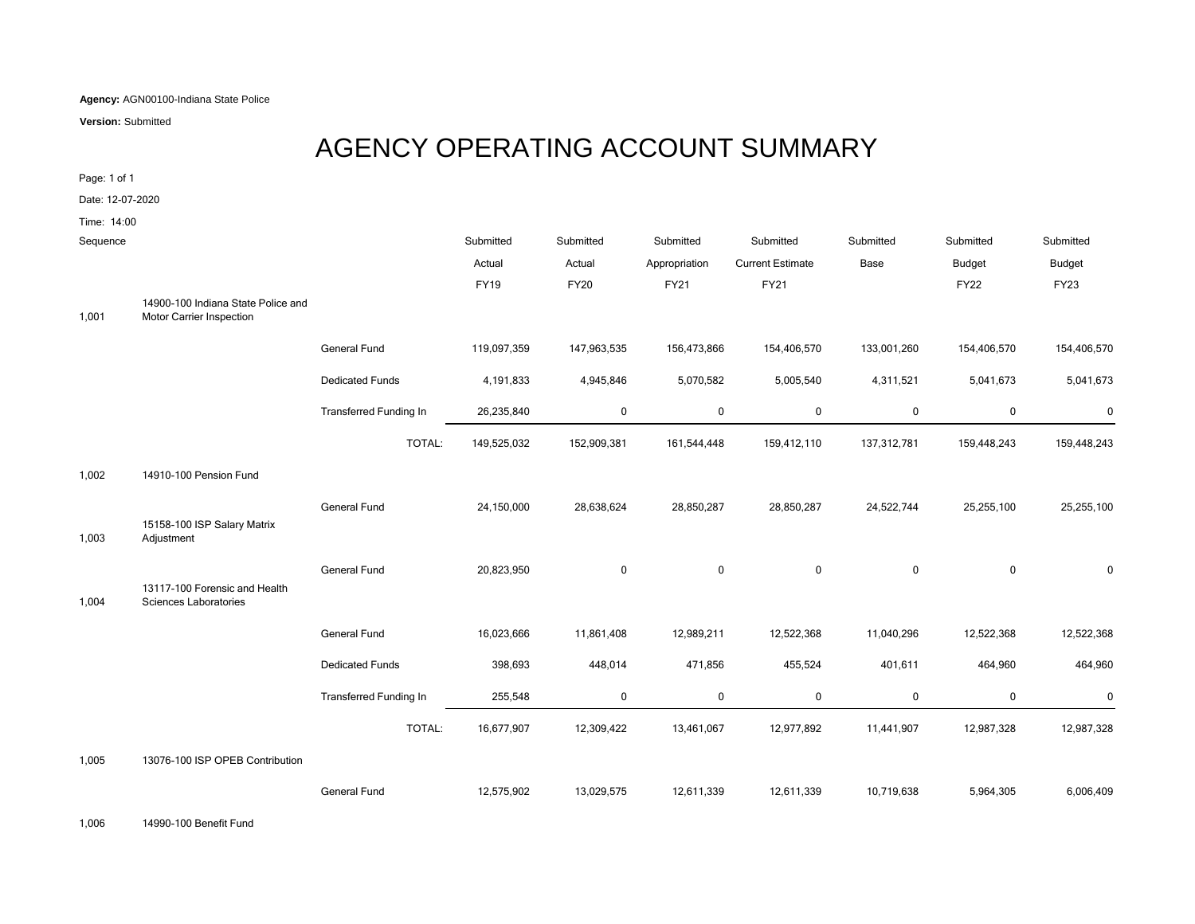**Agency:** AGN00100-Indiana State Police

**Version:** Submitted

## AGENCY OPERATING ACCOUNT SUMMARY

Page: 1 of 1

Date: 12-07-2020

Time: 14:00

| Sequence |                                                                |                               | Submitted   | Submitted   | Submitted     | Submitted               | Submitted   | Submitted     | Submitted     |
|----------|----------------------------------------------------------------|-------------------------------|-------------|-------------|---------------|-------------------------|-------------|---------------|---------------|
|          |                                                                |                               | Actual      | Actual      | Appropriation | <b>Current Estimate</b> | Base        | <b>Budget</b> | <b>Budget</b> |
|          |                                                                |                               | <b>FY19</b> | <b>FY20</b> | <b>FY21</b>   | <b>FY21</b>             |             | <b>FY22</b>   | <b>FY23</b>   |
| 1,001    | 14900-100 Indiana State Police and<br>Motor Carrier Inspection |                               |             |             |               |                         |             |               |               |
|          |                                                                | General Fund                  | 119,097,359 | 147,963,535 | 156,473,866   | 154,406,570             | 133,001,260 | 154,406,570   | 154,406,570   |
|          |                                                                | <b>Dedicated Funds</b>        | 4,191,833   | 4,945,846   | 5,070,582     | 5,005,540               | 4,311,521   | 5,041,673     | 5,041,673     |
|          |                                                                | Transferred Funding In        | 26,235,840  | 0           | 0             | $\mathbf 0$             | $\mathbf 0$ | $\mathbf 0$   | $\bf{0}$      |
|          |                                                                | TOTAL:                        | 149,525,032 | 152,909,381 | 161,544,448   | 159,412,110             | 137,312,781 | 159,448,243   | 159,448,243   |
| 1,002    | 14910-100 Pension Fund                                         |                               |             |             |               |                         |             |               |               |
|          |                                                                | <b>General Fund</b>           | 24,150,000  | 28,638,624  | 28,850,287    | 28,850,287              | 24,522,744  | 25,255,100    | 25,255,100    |
| 1,003    | 15158-100 ISP Salary Matrix<br>Adjustment                      |                               |             |             |               |                         |             |               |               |
|          |                                                                | <b>General Fund</b>           | 20,823,950  | $\mathbf 0$ | $\mathbf 0$   | $\mathbf 0$             | $\mathbf 0$ | $\mathbf 0$   | $\mathbf 0$   |
| 1,004    | 13117-100 Forensic and Health<br><b>Sciences Laboratories</b>  |                               |             |             |               |                         |             |               |               |
|          |                                                                | General Fund                  | 16,023,666  | 11,861,408  | 12,989,211    | 12,522,368              | 11,040,296  | 12,522,368    | 12,522,368    |
|          |                                                                | <b>Dedicated Funds</b>        | 398,693     | 448,014     | 471,856       | 455,524                 | 401,611     | 464,960       | 464,960       |
|          |                                                                | <b>Transferred Funding In</b> | 255,548     | 0           | 0             | $\mathbf 0$             | $\mathbf 0$ | $\mathbf 0$   | $\mathbf 0$   |
|          |                                                                | TOTAL:                        | 16,677,907  | 12,309,422  | 13,461,067    | 12,977,892              | 11,441,907  | 12,987,328    | 12,987,328    |
| 1,005    | 13076-100 ISP OPEB Contribution                                |                               |             |             |               |                         |             |               |               |
|          |                                                                | <b>General Fund</b>           | 12,575,902  | 13,029,575  | 12,611,339    | 12,611,339              | 10,719,638  | 5,964,305     | 6,006,409     |

1,006 14990-100 Benefit Fund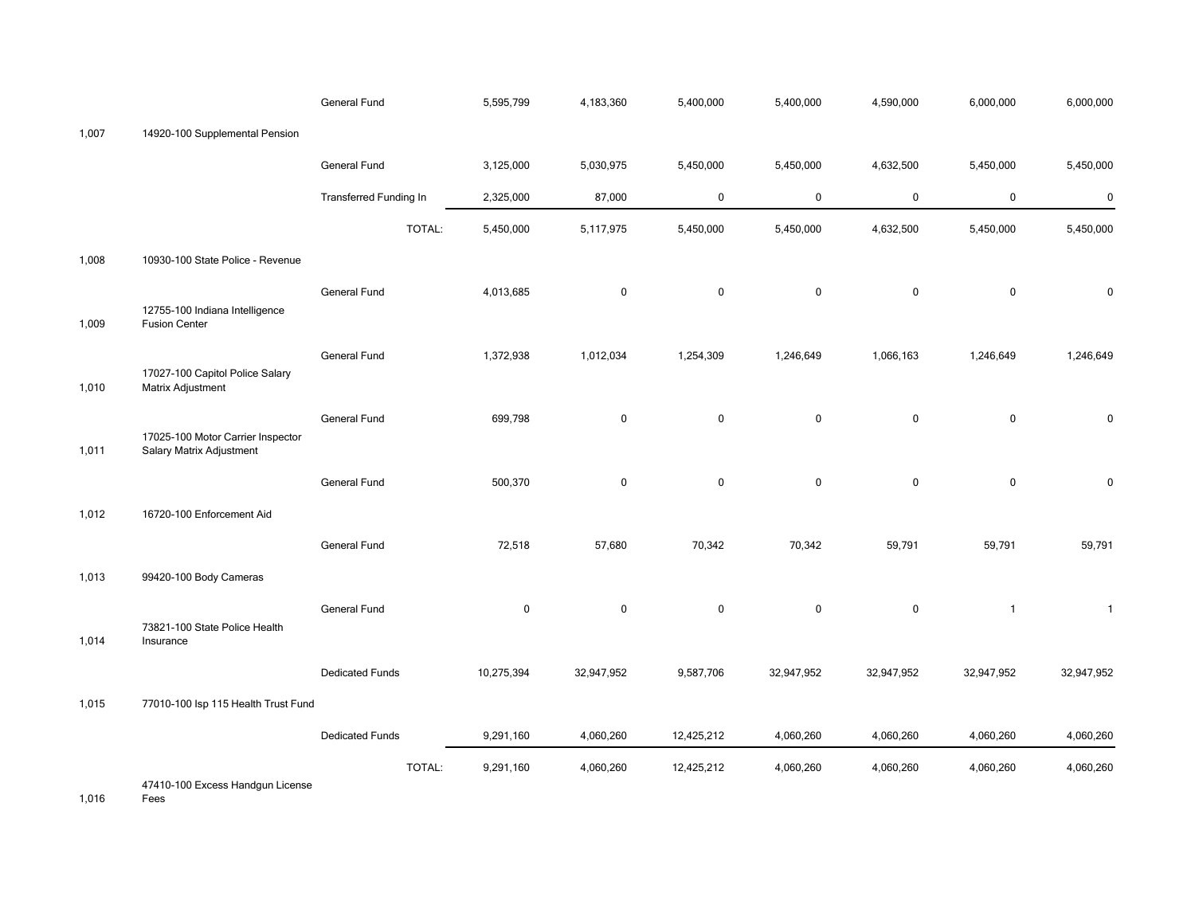|       |                                                               | General Fund                  | 5,595,799           | 4,183,360  | 5,400,000   | 5,400,000   | 4,590,000   | 6,000,000      | 6,000,000    |
|-------|---------------------------------------------------------------|-------------------------------|---------------------|------------|-------------|-------------|-------------|----------------|--------------|
| 1,007 | 14920-100 Supplemental Pension                                |                               |                     |            |             |             |             |                |              |
|       |                                                               | General Fund                  | 3,125,000           | 5,030,975  | 5,450,000   | 5,450,000   | 4,632,500   | 5,450,000      | 5,450,000    |
|       |                                                               | <b>Transferred Funding In</b> | 2,325,000           | 87,000     | $\mathbf 0$ | 0           | $\mathbf 0$ | $\mathbf 0$    | $\pmb{0}$    |
|       |                                                               |                               | TOTAL:<br>5,450,000 | 5,117,975  | 5,450,000   | 5,450,000   | 4,632,500   | 5,450,000      | 5,450,000    |
| 1,008 | 10930-100 State Police - Revenue                              |                               |                     |            |             |             |             |                |              |
| 1,009 | 12755-100 Indiana Intelligence<br><b>Fusion Center</b>        | General Fund                  | 4,013,685           | 0          | $\mathbf 0$ | 0           | $\mathbf 0$ | $\pmb{0}$      | $\pmb{0}$    |
| 1,010 | 17027-100 Capitol Police Salary<br>Matrix Adjustment          | General Fund                  | 1,372,938           | 1,012,034  | 1,254,309   | 1,246,649   | 1,066,163   | 1,246,649      | 1,246,649    |
| 1,011 | 17025-100 Motor Carrier Inspector<br>Salary Matrix Adjustment | General Fund                  | 699,798             | 0          | $\mathbf 0$ | $\mathbf 0$ | $\mathbf 0$ | $\mathbf 0$    | 0            |
|       |                                                               | General Fund                  | 500,370             | 0          | $\mathbf 0$ | 0           | $\mathbf 0$ | $\mathbf 0$    | $\pmb{0}$    |
| 1,012 | 16720-100 Enforcement Aid                                     |                               |                     |            |             |             |             |                |              |
|       |                                                               | General Fund                  | 72,518              | 57,680     | 70,342      | 70,342      | 59,791      | 59,791         | 59,791       |
| 1,013 | 99420-100 Body Cameras                                        |                               |                     |            |             |             |             |                |              |
| 1,014 | 73821-100 State Police Health<br>Insurance                    | General Fund                  | $\pmb{0}$           | 0          | $\mathbf 0$ | $\mathbf 0$ | $\mathbf 0$ | $\overline{1}$ | $\mathbf{1}$ |
|       |                                                               | <b>Dedicated Funds</b>        | 10,275,394          | 32,947,952 | 9,587,706   | 32,947,952  | 32,947,952  | 32,947,952     | 32,947,952   |
| 1,015 | 77010-100 Isp 115 Health Trust Fund                           |                               |                     |            |             |             |             |                |              |
|       |                                                               | <b>Dedicated Funds</b>        | 9,291,160           | 4,060,260  | 12,425,212  | 4,060,260   | 4,060,260   | 4,060,260      | 4,060,260    |
|       | 47410-100 Excess Handqun License                              |                               | TOTAL:<br>9,291,160 | 4,060,260  | 12,425,212  | 4,060,260   | 4,060,260   | 4,060,260      | 4,060,260    |

1,016 Fees No Funding Type 0 0 0 0 0 0 0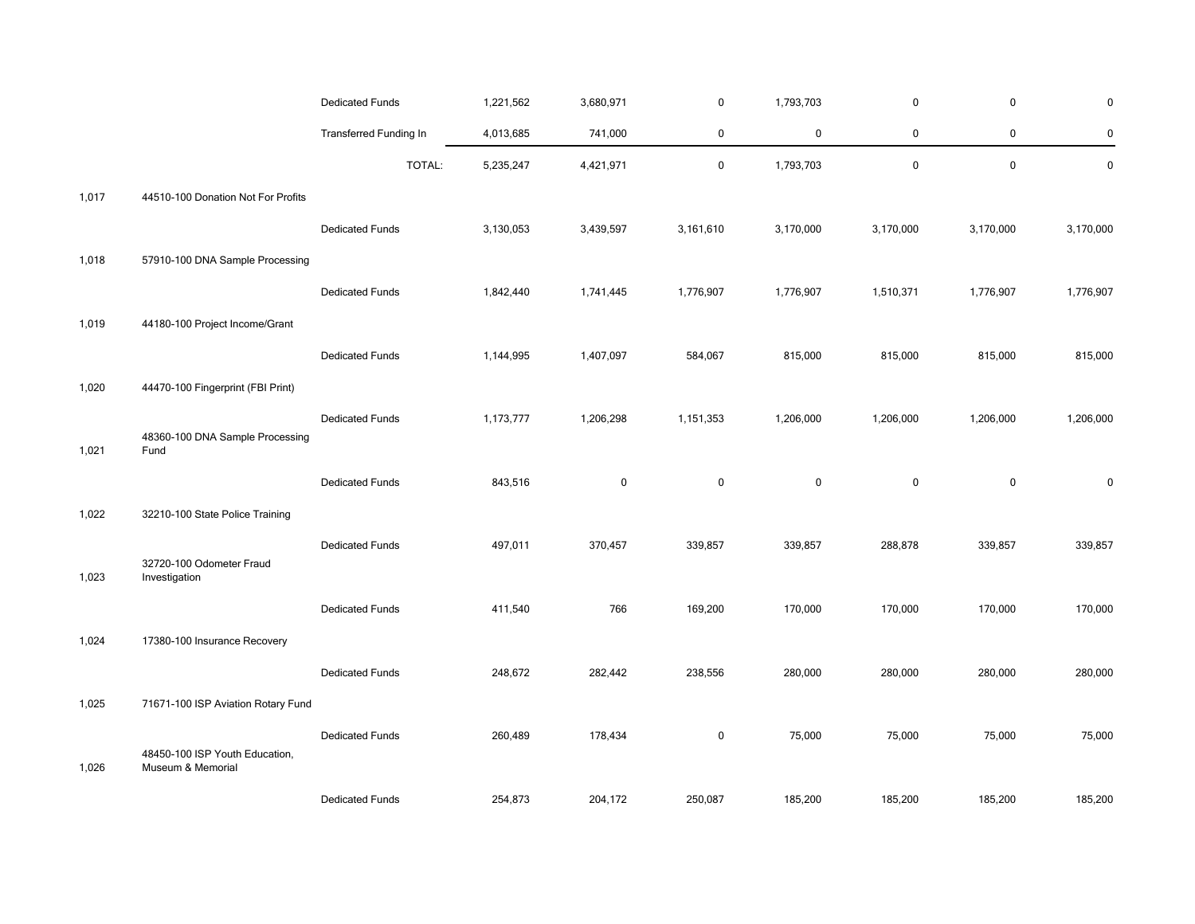|       |                                                     | <b>Dedicated Funds</b> | 1,221,562 | 3,680,971   | 0           | 1,793,703   | $\mathbf 0$ | $\mathbf 0$ | $\mathbf 0$ |
|-------|-----------------------------------------------------|------------------------|-----------|-------------|-------------|-------------|-------------|-------------|-------------|
|       |                                                     | Transferred Funding In | 4,013,685 | 741,000     | $\mathbf 0$ | $\mathbf 0$ | 0           | 0           | $\pmb{0}$   |
|       |                                                     | TOTAL:                 | 5,235,247 | 4,421,971   | $\mathbf 0$ | 1,793,703   | $\mathsf 0$ | $\mathbf 0$ | $\mathbf 0$ |
| 1,017 | 44510-100 Donation Not For Profits                  |                        |           |             |             |             |             |             |             |
|       |                                                     | <b>Dedicated Funds</b> | 3,130,053 | 3,439,597   | 3,161,610   | 3,170,000   | 3,170,000   | 3,170,000   | 3,170,000   |
| 1,018 | 57910-100 DNA Sample Processing                     |                        |           |             |             |             |             |             |             |
|       |                                                     | <b>Dedicated Funds</b> | 1,842,440 | 1,741,445   | 1,776,907   | 1,776,907   | 1,510,371   | 1,776,907   | 1,776,907   |
| 1,019 | 44180-100 Project Income/Grant                      |                        |           |             |             |             |             |             |             |
|       |                                                     | <b>Dedicated Funds</b> | 1,144,995 | 1,407,097   | 584,067     | 815,000     | 815,000     | 815,000     | 815,000     |
| 1,020 | 44470-100 Fingerprint (FBI Print)                   |                        |           |             |             |             |             |             |             |
|       |                                                     | <b>Dedicated Funds</b> | 1,173,777 | 1,206,298   | 1,151,353   | 1,206,000   | 1,206,000   | 1,206,000   | 1,206,000   |
| 1,021 | 48360-100 DNA Sample Processing<br>Fund             |                        |           |             |             |             |             |             |             |
|       |                                                     | <b>Dedicated Funds</b> | 843,516   | $\mathbf 0$ | $\mathbf 0$ | $\mathbf 0$ | $\mathbf 0$ | $\pmb{0}$   | $\mathbf 0$ |
| 1,022 | 32210-100 State Police Training                     |                        |           |             |             |             |             |             |             |
|       |                                                     | <b>Dedicated Funds</b> | 497,011   | 370,457     | 339,857     | 339,857     | 288,878     | 339,857     | 339,857     |
| 1,023 | 32720-100 Odometer Fraud<br>Investigation           |                        |           |             |             |             |             |             |             |
|       |                                                     | <b>Dedicated Funds</b> | 411,540   | 766         | 169,200     | 170,000     | 170,000     | 170,000     | 170,000     |
| 1,024 | 17380-100 Insurance Recovery                        |                        |           |             |             |             |             |             |             |
|       |                                                     | <b>Dedicated Funds</b> | 248,672   | 282,442     | 238,556     | 280,000     | 280,000     | 280,000     | 280,000     |
| 1,025 | 71671-100 ISP Aviation Rotary Fund                  |                        |           |             |             |             |             |             |             |
|       |                                                     | <b>Dedicated Funds</b> | 260,489   | 178,434     | $\mathbf 0$ | 75,000      | 75,000      | 75,000      | 75,000      |
| 1,026 | 48450-100 ISP Youth Education,<br>Museum & Memorial |                        |           |             |             |             |             |             |             |
|       |                                                     | <b>Dedicated Funds</b> | 254,873   | 204,172     | 250,087     | 185,200     | 185,200     | 185,200     | 185,200     |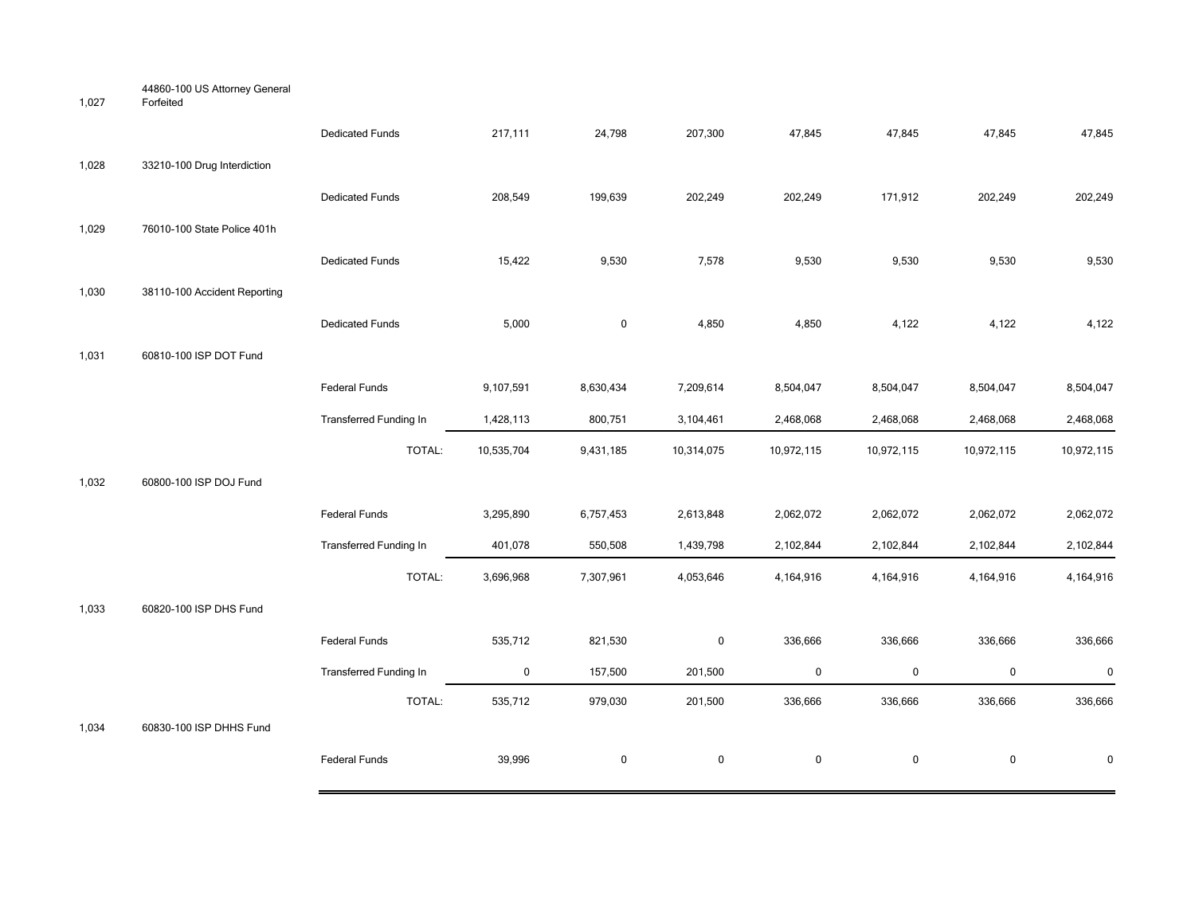| 1,027 | 44860-100 US Attorney General<br>Forfeited |                               |             |              |             |            |            |             |            |
|-------|--------------------------------------------|-------------------------------|-------------|--------------|-------------|------------|------------|-------------|------------|
|       |                                            | <b>Dedicated Funds</b>        | 217,111     | 24,798       | 207,300     | 47,845     | 47,845     | 47,845      | 47,845     |
| 1,028 | 33210-100 Drug Interdiction                |                               |             |              |             |            |            |             |            |
|       |                                            | <b>Dedicated Funds</b>        | 208,549     | 199,639      | 202,249     | 202,249    | 171,912    | 202,249     | 202,249    |
| 1,029 | 76010-100 State Police 401h                |                               |             |              |             |            |            |             |            |
|       |                                            | <b>Dedicated Funds</b>        | 15,422      | 9,530        | 7,578       | 9,530      | 9,530      | 9,530       | 9,530      |
| 1,030 | 38110-100 Accident Reporting               |                               |             |              |             |            |            |             |            |
|       |                                            | <b>Dedicated Funds</b>        | 5,000       | $\mathsf{O}$ | 4,850       | 4,850      | 4,122      | 4,122       | 4,122      |
| 1,031 | 60810-100 ISP DOT Fund                     |                               |             |              |             |            |            |             |            |
|       |                                            | Federal Funds                 | 9,107,591   | 8,630,434    | 7,209,614   | 8,504,047  | 8,504,047  | 8,504,047   | 8,504,047  |
|       |                                            | Transferred Funding In        | 1,428,113   | 800,751      | 3,104,461   | 2,468,068  | 2,468,068  | 2,468,068   | 2,468,068  |
|       |                                            | TOTAL:                        | 10,535,704  | 9,431,185    | 10,314,075  | 10,972,115 | 10,972,115 | 10,972,115  | 10,972,115 |
| 1,032 | 60800-100 ISP DOJ Fund                     |                               |             |              |             |            |            |             |            |
|       |                                            | Federal Funds                 | 3,295,890   | 6,757,453    | 2,613,848   | 2,062,072  | 2,062,072  | 2,062,072   | 2,062,072  |
|       |                                            | Transferred Funding In        | 401,078     | 550,508      | 1,439,798   | 2,102,844  | 2,102,844  | 2,102,844   | 2,102,844  |
|       |                                            | TOTAL:                        | 3,696,968   | 7,307,961    | 4,053,646   | 4,164,916  | 4,164,916  | 4,164,916   | 4,164,916  |
| 1,033 | 60820-100 ISP DHS Fund                     |                               |             |              |             |            |            |             |            |
|       |                                            | Federal Funds                 | 535,712     | 821,530      | $\mathbf 0$ | 336,666    | 336,666    | 336,666     | 336,666    |
|       |                                            | <b>Transferred Funding In</b> | $\mathbf 0$ | 157,500      | 201,500     | $\pmb{0}$  | $\pmb{0}$  | $\mathbf 0$ | $\pmb{0}$  |
|       |                                            | TOTAL:                        | 535,712     | 979,030      | 201,500     | 336,666    | 336,666    | 336,666     | 336,666    |
| 1,034 | 60830-100 ISP DHHS Fund                    |                               |             |              |             |            |            |             |            |
|       |                                            | Federal Funds                 | 39,996      | $\mathbf 0$  | $\mathbf 0$ | 0          | 0          | $\pmb{0}$   | 0          |